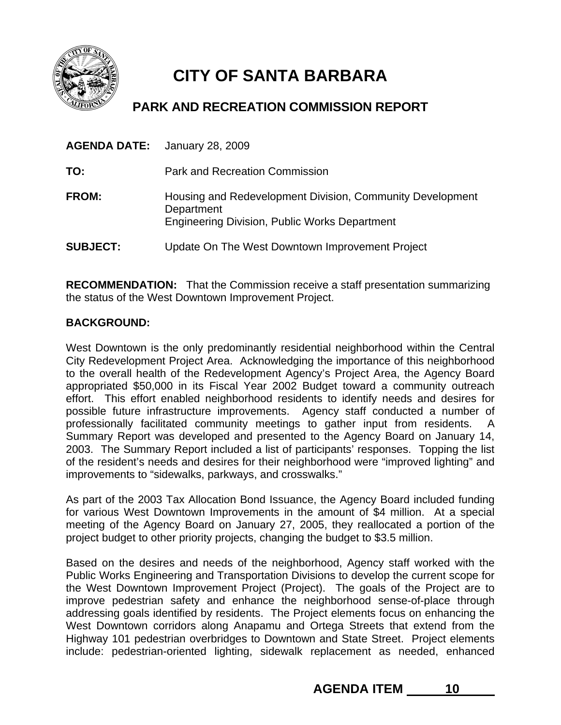

# **CITY OF SANTA BARBARA**

## **PARK AND RECREATION COMMISSION REPORT**

| <b>AGENDA DATE:</b> January 28, 2009 |                                                                                                                                 |
|--------------------------------------|---------------------------------------------------------------------------------------------------------------------------------|
| TO:                                  | <b>Park and Recreation Commission</b>                                                                                           |
| <b>FROM:</b>                         | Housing and Redevelopment Division, Community Development<br>Department<br><b>Engineering Division, Public Works Department</b> |
| <b>SUBJECT:</b>                      | Update On The West Downtown Improvement Project                                                                                 |

**RECOMMENDATION:** That the Commission receive a staff presentation summarizing the status of the West Downtown Improvement Project.

#### **BACKGROUND:**

West Downtown is the only predominantly residential neighborhood within the Central City Redevelopment Project Area. Acknowledging the importance of this neighborhood to the overall health of the Redevelopment Agency's Project Area, the Agency Board appropriated \$50,000 in its Fiscal Year 2002 Budget toward a community outreach effort. This effort enabled neighborhood residents to identify needs and desires for possible future infrastructure improvements. Agency staff conducted a number of professionally facilitated community meetings to gather input from residents. A Summary Report was developed and presented to the Agency Board on January 14, 2003. The Summary Report included a list of participants' responses. Topping the list of the resident's needs and desires for their neighborhood were "improved lighting" and improvements to "sidewalks, parkways, and crosswalks."

As part of the 2003 Tax Allocation Bond Issuance, the Agency Board included funding for various West Downtown Improvements in the amount of \$4 million. At a special meeting of the Agency Board on January 27, 2005, they reallocated a portion of the project budget to other priority projects, changing the budget to \$3.5 million.

Based on the desires and needs of the neighborhood, Agency staff worked with the Public Works Engineering and Transportation Divisions to develop the current scope for the West Downtown Improvement Project (Project). The goals of the Project are to improve pedestrian safety and enhance the neighborhood sense-of-place through addressing goals identified by residents. The Project elements focus on enhancing the West Downtown corridors along Anapamu and Ortega Streets that extend from the Highway 101 pedestrian overbridges to Downtown and State Street. Project elements include: pedestrian-oriented lighting, sidewalk replacement as needed, enhanced

### **AGENDA ITEM 10**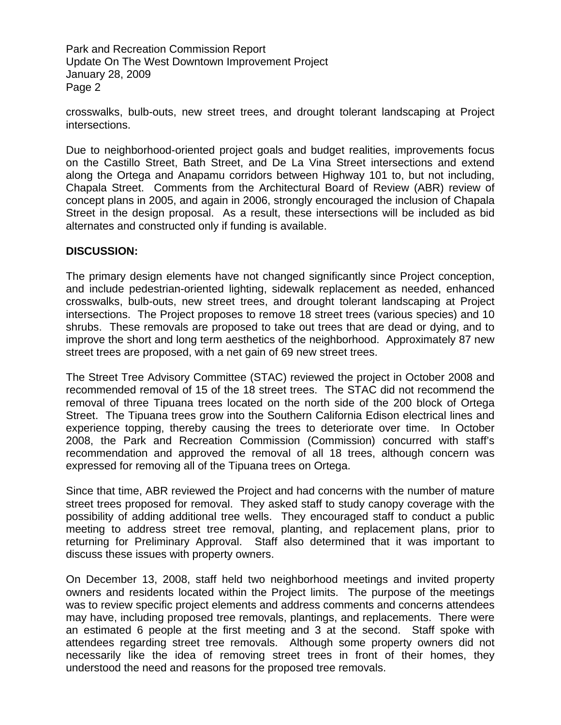Park and Recreation Commission Report Update On The West Downtown Improvement Project January 28, 2009 Page 2

crosswalks, bulb-outs, new street trees, and drought tolerant landscaping at Project intersections.

Due to neighborhood-oriented project goals and budget realities, improvements focus on the Castillo Street, Bath Street, and De La Vina Street intersections and extend along the Ortega and Anapamu corridors between Highway 101 to, but not including, Chapala Street. Comments from the Architectural Board of Review (ABR) review of concept plans in 2005, and again in 2006, strongly encouraged the inclusion of Chapala Street in the design proposal. As a result, these intersections will be included as bid alternates and constructed only if funding is available.

#### **DISCUSSION:**

The primary design elements have not changed significantly since Project conception, and include pedestrian-oriented lighting, sidewalk replacement as needed, enhanced crosswalks, bulb-outs, new street trees, and drought tolerant landscaping at Project intersections. The Project proposes to remove 18 street trees (various species) and 10 shrubs. These removals are proposed to take out trees that are dead or dying, and to improve the short and long term aesthetics of the neighborhood. Approximately 87 new street trees are proposed, with a net gain of 69 new street trees.

The Street Tree Advisory Committee (STAC) reviewed the project in October 2008 and recommended removal of 15 of the 18 street trees. The STAC did not recommend the removal of three Tipuana trees located on the north side of the 200 block of Ortega Street. The Tipuana trees grow into the Southern California Edison electrical lines and experience topping, thereby causing the trees to deteriorate over time. In October 2008, the Park and Recreation Commission (Commission) concurred with staff's recommendation and approved the removal of all 18 trees, although concern was expressed for removing all of the Tipuana trees on Ortega.

Since that time, ABR reviewed the Project and had concerns with the number of mature street trees proposed for removal. They asked staff to study canopy coverage with the possibility of adding additional tree wells. They encouraged staff to conduct a public meeting to address street tree removal, planting, and replacement plans, prior to returning for Preliminary Approval. Staff also determined that it was important to discuss these issues with property owners.

On December 13, 2008, staff held two neighborhood meetings and invited property owners and residents located within the Project limits. The purpose of the meetings was to review specific project elements and address comments and concerns attendees may have, including proposed tree removals, plantings, and replacements. There were an estimated 6 people at the first meeting and 3 at the second. Staff spoke with attendees regarding street tree removals. Although some property owners did not necessarily like the idea of removing street trees in front of their homes, they understood the need and reasons for the proposed tree removals.